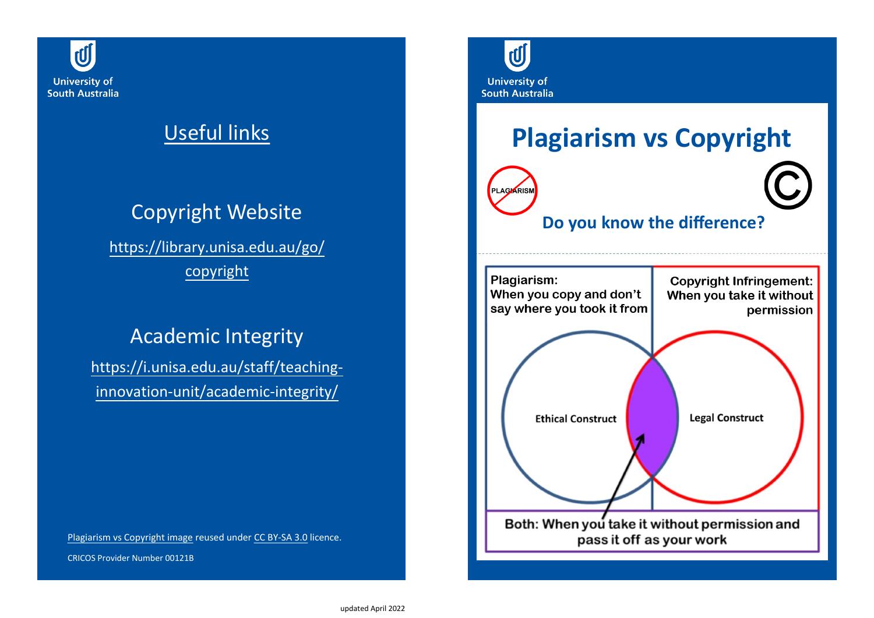

## Useful links

# Copyright Website

[https://library.unisa.edu.au/go/](https://library.unisa.edu.au/go/copyright) [copyright](http://www.library.unisa.edu.au/copyright)

### Academic Integrity

[https://i.unisa.edu.au/staff/teaching](https://i.unisa.edu.au/staff/teaching-innovation-unit/academic-integrity/)[innovation-unit/academic-integrity/](https://i.unisa.edu.au/staff/teaching-innovation-unit/tiu/academic-integrity/)

[Plagiarism vs Copyright image](https://en.wikipedia.org/wiki/File:Plagiarism_vs_Copyright_Infringement.png#mediaviewer/File:Plagiarism_vs_Copyright_Infringement.png) reused under CC BY-[SA 3.0](https://creativecommons.org/licenses/by-sa/3.0/) licence.

CRICOS Provider Number 00121B